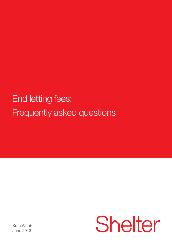End letting fees: Frequently asked questions

Shelter

Kate Webb June 2013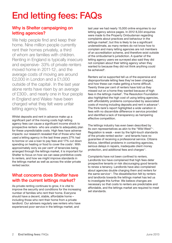# End letting fees: FAQs

#### Why is Shelter campaigning on letting agencies?

We help people find and keep their home. Nine million people currently rent their homes privately, a third of whom are families with children. Renting in England is typically insecure and expensive- 33% of private renters moved home in 2011-12<sup>,</sup> and the average costs of moving are around £2,000 in London and a £1,000 outside of the capital<sup>2</sup>. In the last year alone rents have risen by an average of £300<sub>3</sub>, and nearly one in four people in England and Wales<sup>4</sup> have been charged what they felt were unfair letting agency fees.

Whilst deposits and rent in advance make up a significant part of the moving costs high letting agency fees can cause a significant income shock to prospective renters- who are unable to adequately plan for these unpredictable costs. High fees have adverse impacts: our research revealed that of those who had used a letting agency in the last three years 27% had to borrow or use a loan to pay fees and 17% cut down spending on heating or food to cover the costs<sup>5</sup>. With approximately sixty six per cent<sup>6</sup> of tenancies being arranged through the lettings market, it is important for Shelter to focus on how we can ease prohibitive costs to renters, and how we might improve standards in the lettings market as well as across the wider private rented sector.

#### What concerns does Shelter have with the current lettings market?

As private renting continues to grow, it is vital to improve the security and conditions for the increasing number of families who rent their home. Everyone should have a decent, stable, affordable home – including those who rent their home from a private landlord. Our advisers regularly see renters who have experienced poor service in the lettings market, and

last year we had nearly 15,000 online enquiries to our letting agency advice pages. In 2012 8,334 enquiries were made to the Property Ombudsman regarding complaints about practices and behaviour in the lettings market<sup>7</sup>; but this is likely to be a significant underestimate, as many renters do not know how to complain and many letting agencies are not members of an accreditation scheme, and therefore exist outside of the ombudsman's jurisdiction. A quarter of the letting agency users we surveyed also said they did not complain about their letting agency when they wanted to because they did not think anything could be acheived<sup>8</sup>.

Renters we've supported tell us of the expensive and disproportionate letting fees they've been charged, and how these can make getting a home difficult. Twenty three per cent of renters have told us they missed out on a home they wanted because of high fees in the lettings market<sup>9</sup>. The Resolution Foundation also highlighted the high cost of using letting agencies, with affordability problems compounded by associated costs of moving including deposits and rent in advance<sup>10</sup>. The think-tank's report highlighted a wide variation in fees with no discernible difference in service provided and identified a lack of transparency as hampering effective competition.

The lettings industry has even been described by its own representatives as akin to the "Wild West"<sup>11</sup>. Regulation is weak - even by the light-touch standards of the private rented sector - and tenants have no guarantee of receiving a professional service. Citizens Advice, identified problems in contacting agencies, serious delays in repairs, inadequate client money protection, and additional fees and charges<sup>12</sup>.

Complaints have not been confined to renters. Landlords too have complained that high fees deter prospective tenants or risk discouraging good tenants to renew a tenancy. Landlords have also complained about agencies double charging them and renters for the same service<sup>13</sup>. The dissatisfaction felt by renters and landlords towards the lettings market has led us to investigate this further. We believe changes are necessary so that costs to renters are predictable and affordable, and the lettings market are required to meet set standards.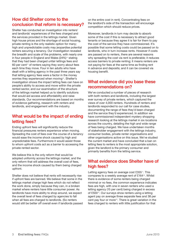# How did Shelter come to the conclusion that reform is necessary?

Shelter has conducted an investigation into renters' and landlords' experiences of the fees charged and the services provided in the lettings market. Given high house prices and the shortage of social housing, private renting is the only realistic option for many; high and unpredictable costs may jeopardise potential renters securing a tenancy. Our investigation revealed the breadth and scale of the problems, with nearly one in four people in England and Wales  $(24%)$ <sup>14</sup> stating that they had been charged unfair lettings fees and  $60$  per cent<sup>15</sup> of renters saying they worry about fees each time they move. Four in ten adults who have dealt with a letting agency in the past three years say that letting agency fees were a factor in the money worries they experienced when moving<sup>16</sup>. Shelter's investigation shows the impact letting fees can have on people's ability to access and move within the private rented sector, and our examination of the structure of the lettings market helped us to identify solutions that would aid access and affordability and raise standards. Our recommendations are based on months of evidence gathering, research with renters and landlords, and engagement with the industry.

# What would be the impact of ending letting fees?

Ending upfront fees will significantly reduce the financial pressures renters experience when moving. Spreading the cost of fees over the course of a tenancy would ease the income shock caused by high and unpredictable fees. Furthermore it would assist those to whom upfront costs act as a barrier to accessing the private rented sector.

We believe this is the only reform that would be adopted uniformly across the lettings market, and the only reform that will address the overall cost of fees, and the income shock caused by them being charged upfront.

Shelter does not believe that rents will necessarily rise if upfront fees are banned. We believe that some in the lettings market charge high fees which do not reflect the work done, simply because they can, in a broken market where renters have little consumer power. As landlords have more ability to shop around, we expect the overall level of fees charged by agencies to fall when all fees are charged to landlords. (So renters would still be better off overall even if landlords passed on the entire cost in rent). Concentrating fees on the landlord's side of the transaction will encourage competition which should reduce prices.

Moreover, landlords in turn may decide to absorb some of the cost if this is necessary to attract good tenants or because they agree it is fair for them to pay the cost of the service they have commissioned. It's possible that some letting costs could be passed on to landlords, who in turn increase rents. However if costs are passed on to renters, there are several reasons why spreading the cost via rent is preferable; it reduces access barriers to private renting; it means renters are not paying for fees at the same time as finding rent in advance and deposits; and it can be covered via housing benefit.

#### What evidence did you base these recommendations on?

We've conducted a number of pieces of research with both renters and landlords, including the largest ever survey of private renters, which captured the views of over 4,000 renters. Hundreds of renters and landlords responded to our call for case studies, documenting the range of fees they'd been charged and the service they'd experienced. In addition we have commissioned independent mystery shopping research looking at the lettings market in six locations across the country, detailing the high and wide range of fees being charged. We have undertaken months of stakeholder engagement with the lettings industry, consumer bodies, private renter organisations and other organisations active on this issue. We've studied the current market and have concluded that a ban on letting fees to renters is the most appropriate solution, given the landlord is the primary consumer and primarily benefits from the letting service.

#### What evidence does Shelter have of high fees?

Letting agency fees on average cost £355<sup>17</sup>. This compares to a weekly average rent of £16418. Whilst there is evidence of some renters being charged minimal or no fees, the common experience indicates fees are high, with one in seven renters who used a letting agency (15 per cent) being charged in excess of £500<sup>19</sup>. Our surveys show renters using a letting agent pay on average three separate fees and 38 per cent pay four or more<sup>20</sup>. There is great variation in the fees charged to renters with little justification for that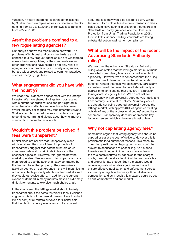variation. Mystery shopping research commissioned by Shelter found examples of fees for reference checks ranging from £30 to £220 and of renewal fees ranging from £35 to £15021

#### Aren't the problems confined to a few rogue letting agencies?

Our analysis shows the market does not work. The problems of high cost and poor standards are not confined to a few "rogue" agencies but are widespread across the industry. Many of the complaints we and other organisations have heard do not only relate to egregiously poor practice by a minority of agencies, but are widespread, and related to common practicessuch as charging high fees.

## What engagement did you have with the industry?

We undertook extensive engagement with the lettings industry. We have shared findings from our research with a number of organisations and participated in a number of roundtables and events on this issue. Whilst industry colleagues may take different views to Shelter about how to reduce fees to renters, we hope to continue our fruitful dialogue about how to improve standards in the sector as a whole.

# Wouldn't this problem be solved if fees were transparent?

Shelter does not believe that transparency alone will bring down the cost of fees. Proponents of transparency suggest that potential renters could compare costs and discriminate in favour of the cheapest agencies. However, this ignores how the market operates. Renters search by property, and are then forced to use the agency already contracted by the landlord to let that property. They are unlikely to avoid an agency on cost grounds if this will mean losing out on a suitable property which is advertised at a rent they could otherwise afford. In addition, the current excess of demand in many markets makes it extremely difficult for tenants to exercise much choice at all.

In the short-term, the lettings market should be fully transparent about the costs renters will face. Evidence suggests this is not the case at present. Less than half (43 per cent) of all renters surveyed for Shelter said that their letting agency was open and transparent

about the fees they would be asked to pay<sup>22</sup>. Whilst failure to fully disclose fees before a transaction takes place could leave agents in breach of the Advertising Standards Authority guidance and the Consumer Protection from Unfair Trading Regulations (2008), there is little evidence trading standards are taking substantial action against non-compliance.

## What will be the impact of the recent Advertising Standards Authority ruling?

We welcome the Advertising Standards Authority ruling which states that the lettings market must make clear what compulsory fees are charged when letting a property. However, we are concerned that the ruling could become little more than a disclaimer to alert potential renters that fees will be incurred, particularly as renters have little power to negotiate, with only a quarter of tenants stating that they are in a position to negotiate on agency fees<sup>23</sup>. We do not believe transparency will be universally adopted voluntarily and transparency is difficult to enforce. Voluntary codes are already not being adopted universally across the lettings market, with approx 40% of agencies existing outside of any of the professional bodies' accreditation schemes<sup>24</sup>. Transparency does not address the key issue for renters, which is the overall cost of fees.

#### Why not cap letting agency fees?

Some have argued that letting agency fees should be capped or set at the cost of delivery. However this is problematic for a number of reasons. This measure could be questioned on legal grounds and could be subject to accusations of price fixing. As it stands there is very little public information available on the true costs incurred by agencies for the charges made, it would therefore be difficult to calculate a fair and proportionate charge. Such a measure would require legislation but also significant red tape to ensure effective application and enforcement across a currently unregulated industry. It could eliminate competition and as a result this measure could be seen as anti competitive and anti market.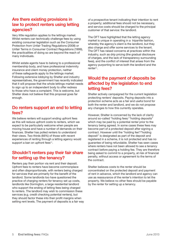## Are there existing provisions in law to protect renters using letting agencies?

Very little regulation applies to the lettings market. Whilst renters can technically challenge fees by using existing consumer legislation such as the Consumer Protection from Unfair Trading Regulations (2008) or Unfair Terms in Consumer Contract Regulations (1999), the practicalities of doing so are beyond the reach of many individuals.

Whilst estate agents have to belong to a professional membership body, and have professional indemnity insurance and client money protection, neither of these safeguards apply to the lettings market. Following extensive lobbying by Shelter and industry representatives, the government has recently indicated that it will propose that the whole lettings market needs to sign up to an independent body to offer redress to those who have a complaint. This is welcome, but Shelter does not believe that this proposal goes far enough.

#### Do renters support an end to letting fees?

We believe renters will support ending upfront fees as this will reduce upfront costs to renters, which we expect to be particularly welcome when people are moving house and have a number of demands on their finances. Shelter has polled renters to understand their views. Two thirds (66%) of those with recent experiences of renting through a letting agency would support a ban on upfront fees $25$ .

# Shouldn't renters pay their fair share for setting up the tenancy?

Renters pay their portion via rent and their deposit. Upfront fees to renters have become commonplace and often disproportionate, with renters being charged for services that are primarily for the benefit of the landlord. Some landlords too have questioned the practice of charging renters for tenancy set up costs, landlords like Dorrington, a large residential landlord who support the ending of letting fees being charged to renters. The landlord may wish to commission these services (e.g. credit checking potential renters), but they should factor these into their profit margins when setting rent levels. The payment of deposits is a fair way of a prospective tenant indicating their intention to rent a property; additional fees should not be necessary, and service costs should be charged to the principal customer of that service: the landlord.

The OFT have highlighted that the letting agency market is unique in operating in a tripartite fashion, whereby the agency's client is the landlord, but they also charge and offer some services to the tenant. The OFT has raised concerns at practices within the industry, such as drip pricing (the gradual disclosure of charges, and the lack of transparency surrounding fees), and the conflict of interest that arises from the agency purporting to serve both the landlord and the renter<sup>26</sup>.

#### Would the payment of deposits be affected by the legislation to end letting fees?

Shelter actively campaigned for the current legislation protecting renters' deposits. Paying deposits into a protection scheme acts as a fair and useful bond for both the renter and landlord, and we do not propose any changes to how this currently operates.

However, Shelter is concerned by the lack of clarity around so-called "holding fees/ "holding deposits" which may be paid by a potential renter prior to the tenancy being agreed. In some cases these fees may become part of a protected deposit after signing a contract. However until the "holding fee"/"holding deposit" is designated as part of the deposit and registered in a scheme, it is not protected and has no guarantee of being refundable. Shelter has seen cases where renters have not been allowed to see a tenancy contract before paying a holding fee. They are therefore being asked to commit to a property, at risk of financial penalty, without access or agreement to the terms of the contract.

Shelter believes costs to the renter should be concentrated on the protected deposit and payment of rent in advance, which the landlord and agency can use as reassurance of the renter's intention to let the property. We believe no other fees should be payable by the renter for setting up a tenancy.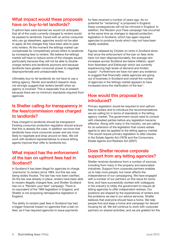#### What impact would these proposals have on buy-to-let landlords?

If upfront fees were banned we would not anticipate that all of the costs currently charged to renters would be passed to landlords. Faced with an active consumer who can go elsewhere, agencies would not be able to apply all the charges they have been able to pass onto renters. At the moment the lettings market can compensate for competitively priced offers to landlords by increasing fees to renters. We believe the lettings market will have to reduce some of the charges issued, particularly because they will not be able to doublecharge renters and landlords anymore and because landlords have greater consumer power to negotiate disproportionate and unreasonable fees.

Ultimately buy-to-let landlords do not have to use a letting agency. Renter and landlord research does not strongly suggest that renters benefit when an agency is involved. This is especially true at present because there are no minimum standards required from agencies.

#### Is Shelter calling for transparency in the fees/commission rates charged to landlords?

Fees charged to landlords should be transparent. Existing consumer protection regulation should ensure that this is already the case. In addition we know that landlords have more consumer power and are more likely to negotiate and shop around on fees. We will work with landlord representatives to ensure letting agents improve their offer to landlords too.

## What impact has the enforcement of the ban on upfront fees had in Scotland?

In Scotland it has been illegal for agencies to charge 'premiums' to renters since 1984, but this law was being widely flouted. The law has now been clarified. As the law was already in place, renters have been able to reclaim illegally charged fees, and Shelter Scotland has run a "Reclaim your fees" campaign. There is no equivalent of the 1984 legislation in England, and Shelter is not proposing retrospective legislation in England.

The ability to reclaim past fees in Scotland has had a bigger financial impact on agencies than a ban on fees, as it has required agencies to issue payments

for fees received a number of years ago. As no potential for "reclaiming" is proposed in England, these consequences will not be mirrored in England. In addition, the Reclaim your Fees campaign has occurred at the same time as changes to deposit protection legislation in Scotland, which has again required agencies to produce funds which may not have been readily available.

Figures released by Citylets on rents in Scotland show that since the enforcement of the ban on fees rents have not risen disproportionately; the average rent increases across Scotland are below inflation, apart from Aberdeen and Edinburgh which are currently experiencing high levels of demand and limited supply<sup>27</sup>. Furthermore we have not seen any evidence to suggest that financially viable agencies are going out of business in Scotland and overall the number of agencies in the lettings market appears to have increased since the clarification of the law28.

# How would this proposal be introduced?

Primary legislation would be required to end upfront fees to renters and to introduce the recommendations we are calling for in terms of standards in the letting agency market. The government would need to consult with interested parties before any legislation became effective. Along with many in the industry, we are calling for an extension of the legislation that covers estate agents to also be applied to the letting agency market. This would require primary legislation to alter clauses in the Estate Agents Act (1979) and the Consumers, Estate Agents and Redress Act (2007).

#### Does Shelter receive corporate support from any letting agencies?

Shelter receives donations from a number of sources, including from many in the property and associated industries. Support from corporate partners enables us to help more people, but never affects the independence of our campaigning. We have engaged with a number of our partners on this issue for some time, and have successfully worked with colleagues in the industry to lobby the government to require all letting agencies to offer independent redress. Our positions are shaped by the experiences of renters and the problems we see in our advice services. Shelter believes that everyone should have a home. We help people find and keep a home and campaign for decent housing for all. We will continue to work with corporate partners on shared activities, and we are grateful for the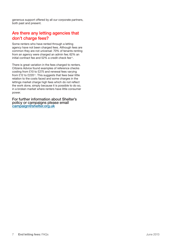generous support offered by all our corporate partners, both past and present.

## Are there any letting agencies that don't charge fees?

Some renters who have rented through a letting agency have not been charged fees. Although fees are common they are not universal: 70% of tenants renting from an agency were charged an admin fee; 62% an initial contract fee and 52% a credit check fee<sup>29</sup>.

There is great variation in the fees charged to renters. Citizens Advice found examples of reference checks costing from £10 to £275 and renewal fees varying from £12 to £220<sup>30</sup>. This suggests that fees bear little relation to the costs faced and some charges in the lettings market charge high fees which do not reflect the work done, simply because it is possible to do so, in a broken market where renters have little consumer power.

For further information about Shelter's policy or campaigns please email campaign@shelter.org.uk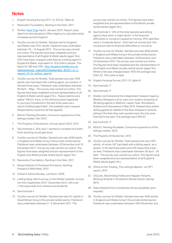# **Notes**

- 1. English Housing Survey 2011–12, DCLG. Table t5.
- 2. Resolution Foundation, Renting in the Dark, 2011
- 3. Shelter, Rent Trap report, January 2013. Report used data from the Valuations Office Agency to calculate rental increases across England.
- 4. YouGov survey for Shelter. Sample size for England and Wales was 4724 adults. Fieldwork was undertaken between 10 – 14 August 2012. The survey was carried out online. The figures have been weighted and are representative of all English & Welsh adults (aged 18+), 24% have been charged unfair fees by a letting agent in England & Wales, equivalent to 10.6 million people. The figure for GB was 23%. http://england.shelter.org.uk/ news/previous\_years/2012/september\_2012/1\_in\_4 ripped\_off\_by\_letting\_agents
- 5. YouGov survey for Shelter. Total sample size was 1528 adults who had dealt with a letting agent, as a tenant, in the last three years. Fieldwork was undertaken between 26 April - 1May. The survey was carried out online. The figures have been weighted and are representative of all English & Welsh adults (aged 18+). Respondents were asked "Which, if any, of the following have happened to you/your household in the last three years as a result of letting agent fees", list available upon request. Respondents could tick all that applied.
- 6. Which? Renting Roulette, Consumer experience of the lettings market, Nov 2012
- 7. The Property Ombudsman, Annual report 2012, 2013
- 8. See footnote 5. 24% said 'I wanted to complain but didnt think anything would get done'.
- 9. YouGov survey for Shelter. Sample size was 4646 adults in England and Wales living in the private rented sector. Fieldwork was undertaken between 16 November and 10 December 2012. The survey was carried out online. The figures have been weighted and are representative of the English and Welsh private rented sector (aged 18+).
- 10. Resolution Foundation, Renting in the Dark, 2011.
- 11. Royal Institute of Chartered Surveyors, Renting: Property's Wild West, 2012
- 12. Citizen's Advice Bureau, Let Down, 2009
- 13. Letting Away with It survey on the Shelter website. Survey ran from September 2012- December 2012, with over 1,100 responses from renters and landlords.
- 14. See footnote 4
- 15. YouGov survey for Shelter. Sample size was 541 adults in Great Britain living in the private rented sector. Fieldwork was undertaken between 2 - 5 December 2011. The

survey was carried out online. The figures have been weighted and are representative of the British private rented sector (aged 18+).

- 16. See footnote 5. 14% of the total sample said letting agency fees were 'a major factor' in the financial difficulties or concerns caused by moving. 25% said fees were a 'moderate factor'. 22% had not moved and 14% moved but had no financial difficulties or concerns.
- 17. YouGov survey for Shelter. Sample size was 4646 adults in England and Wales living in the private rented sector. Fieldwork was undertaken between 16 November and 10 December 2012. The survey was carried out online. The figures have been weighted and are representative of the English and Welsh private rented sector (aged 18+). Where a fee was charged (base 1931) the average was £354.70, 16% paid no fees.
- 18. English Housing Survey, 2011-12, table t3
- 19. See footnote 17
- 20. See footnote 17
- 21. Shelter commissioned the independent research agency Mystery Shoppers Ltd to carry out mystery shopping of 58 letting agents in Watford, Leeds, Sale, Wimbledon, Rutland and Gravesend in May 2013. Researchers asked letting agents for details of the fees charged to tenants, asking if the fees they were quoted were the only ones that had to be paid. The average was £350.97.
- 22. See footnote 17
- 23. Which?, Renting Rouellete: Consumer experience of the lettings market, 2012.
- 24. The Property Ombudsman, 2012
- 25. YouGov survey for Shelter. Total sample size was 1874 adults, of whom 347 had dealt with a letting agent, as a tenant, in the last three years and 229 supported a ban on fees. Fieldwork was undertaken between 26 April - 29 April. The survey was carried out online. The figures have been weighted and are representative of all English & Welsh adults (aged 18+).
- 26. Office of Fair Trading, The Lettings Market an OFT report, 2013
- 27. CityLets, Maximising Yields and Happier Tenants, Working Smarter in Scotland's Rental Sector, Spring 2013
- 28. Data obtained from Companies House (available upon request).
- 29. YouGov survey for Shelter. Sample size was 4646 adults in England and Wales living in the private rented sector. Fieldwork was undertaken between 16th November and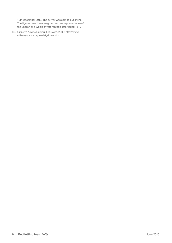10th December 2012. The survey was carried out online. The figures have been weighted and are representative of the English and Welsh private rented sector (aged 18+).

30. Citizen's Advice Bureau, Let Down, 2009: http://www. citizensadvice.org.uk/let\_down.htm